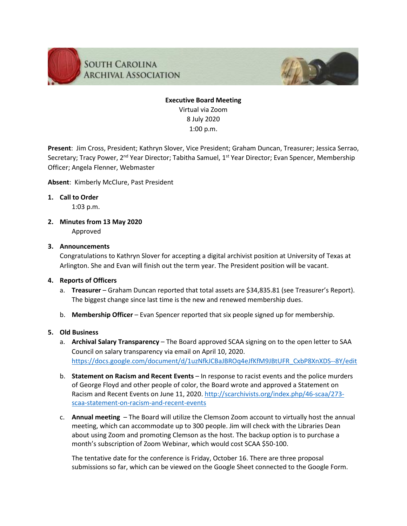



# **Executive Board Meeting** Virtual via Zoom 8 July 2020 1:00 p.m.

**Present**: Jim Cross, President; Kathryn Slover, Vice President; Graham Duncan, Treasurer; Jessica Serrao, Secretary; Tracy Power, 2<sup>nd</sup> Year Director; Tabitha Samuel, 1<sup>st</sup> Year Director; Evan Spencer, Membership Officer; Angela Flenner, Webmaster

**Absent**: Kimberly McClure, Past President

## **1. Call to Order**

1:03 p.m.

**2. Minutes from 13 May 2020** Approved

## **3. Announcements**

Congratulations to Kathryn Slover for accepting a digital archivist position at University of Texas at Arlington. She and Evan will finish out the term year. The President position will be vacant.

#### **4. Reports of Officers**

- a. **Treasurer** Graham Duncan reported that total assets are \$34,835.81 (see Treasurer's Report). The biggest change since last time is the new and renewed membership dues.
- b. **Membership Officer** Evan Spencer reported that six people signed up for membership.

#### **5. Old Business**

- a. **Archival Salary Transparency** The Board approved SCAA signing on to the open letter to SAA Council on salary transparency via email on April 10, 2020. [https://docs.google.com/document/d/1uzNfkJCBaJBROq4eJfKfM9JBtUFR\\_CxbP8XnXDS--8Y/edit](https://docs.google.com/document/d/1uzNfkJCBaJBROq4eJfKfM9JBtUFR_CxbP8XnXDS--8Y/edit)
- b. **Statement on Racism and Recent Events** In response to racist events and the police murders of George Floyd and other people of color, the Board wrote and approved a Statement on Racism and Recent Events on June 11, 2020. [http://scarchivists.org/index.php/46-scaa/273](http://scarchivists.org/index.php/46-scaa/273-scaa-statement-on-racism-and-recent-events) [scaa-statement-on-racism-and-recent-events](http://scarchivists.org/index.php/46-scaa/273-scaa-statement-on-racism-and-recent-events)
- c. **Annual meeting** The Board will utilize the Clemson Zoom account to virtually host the annual meeting, which can accommodate up to 300 people. Jim will check with the Libraries Dean about using Zoom and promoting Clemson as the host. The backup option is to purchase a month's subscription of Zoom Webinar, which would cost SCAA \$50-100.

The tentative date for the conference is Friday, October 16. There are three proposal submissions so far, which can be viewed on the Google Sheet connected to the Google Form.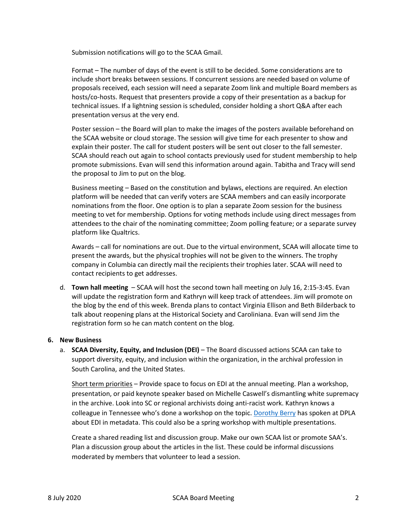Submission notifications will go to the SCAA Gmail.

Format – The number of days of the event is still to be decided. Some considerations are to include short breaks between sessions. If concurrent sessions are needed based on volume of proposals received, each session will need a separate Zoom link and multiple Board members as hosts/co-hosts. Request that presenters provide a copy of their presentation as a backup for technical issues. If a lightning session is scheduled, consider holding a short Q&A after each presentation versus at the very end.

Poster session – the Board will plan to make the images of the posters available beforehand on the SCAA website or cloud storage. The session will give time for each presenter to show and explain their poster. The call for student posters will be sent out closer to the fall semester. SCAA should reach out again to school contacts previously used for student membership to help promote submissions. Evan will send this information around again. Tabitha and Tracy will send the proposal to Jim to put on the blog.

Business meeting – Based on the constitution and bylaws, elections are required. An election platform will be needed that can verify voters are SCAA members and can easily incorporate nominations from the floor. One option is to plan a separate Zoom session for the business meeting to vet for membership. Options for voting methods include using direct messages from attendees to the chair of the nominating committee; Zoom polling feature; or a separate survey platform like Qualtrics.

Awards – call for nominations are out. Due to the virtual environment, SCAA will allocate time to present the awards, but the physical trophies will not be given to the winners. The trophy company in Columbia can directly mail the recipients their trophies later. SCAA will need to contact recipients to get addresses.

d. **Town hall meeting** – SCAA will host the second town hall meeting on July 16, 2:15-3:45. Evan will update the registration form and Kathryn will keep track of attendees. Jim will promote on the blog by the end of this week. Brenda plans to contact Virginia Ellison and Beth Bilderback to talk about reopening plans at the Historical Society and Caroliniana. Evan will send Jim the registration form so he can match content on the blog.

#### **6. New Business**

a. **SCAA Diversity, Equity, and Inclusion (DEI)** – The Board discussed actions SCAA can take to support diversity, equity, and inclusion within the organization, in the archival profession in South Carolina, and the United States.

Short term priorities – Provide space to focus on EDI at the annual meeting. Plan a workshop, presentation, or paid keynote speaker based on Michelle Caswell's dismantling white supremacy in the archive. Look into SC or regional archivists doing anti-racist work. Kathryn knows a colleague in Tennessee who's done a workshop on the topic[. Dorothy Berry](https://library.harvard.edu/staff/dorothy-berry) has spoken at DPLA about EDI in metadata. This could also be a spring workshop with multiple presentations.

Create a shared reading list and discussion group. Make our own SCAA list or promote SAA's. Plan a discussion group about the articles in the list. These could be informal discussions moderated by members that volunteer to lead a session.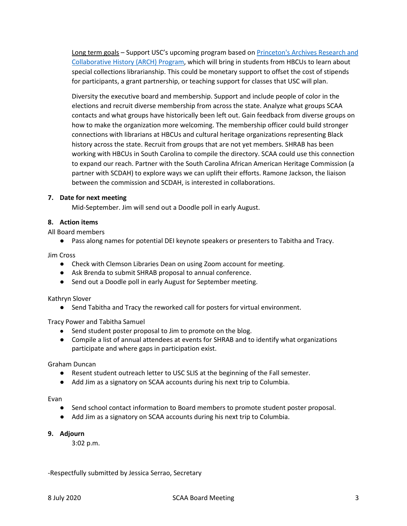Long term goals – Support USC's upcoming program based on Princeton's Archives Research and [Collaborative History \(ARCH\) Program,](https://www.princeton.edu/news/2018/07/30/princeton-university-library-partners-hbcus-inaugural-archiving-program) which will bring in students from HBCUs to learn about special collections librarianship. This could be monetary support to offset the cost of stipends for participants, a grant partnership, or teaching support for classes that USC will plan.

Diversity the executive board and membership. Support and include people of color in the elections and recruit diverse membership from across the state. Analyze what groups SCAA contacts and what groups have historically been left out. Gain feedback from diverse groups on how to make the organization more welcoming. The membership officer could build stronger connections with librarians at HBCUs and cultural heritage organizations representing Black history across the state. Recruit from groups that are not yet members. SHRAB has been working with HBCUs in South Carolina to compile the directory. SCAA could use this connection to expand our reach. Partner with the South Carolina African American Heritage Commission (a partner with SCDAH) to explore ways we can uplift their efforts. Ramone Jackson, the liaison between the commission and SCDAH, is interested in collaborations.

#### **7. Date for next meeting**

Mid-September. Jim will send out a Doodle poll in early August.

#### **8. Action items**

All Board members

● Pass along names for potential DEI keynote speakers or presenters to Tabitha and Tracy.

Jim Cross

- Check with Clemson Libraries Dean on using Zoom account for meeting.
- Ask Brenda to submit SHRAB proposal to annual conference.
- Send out a Doodle poll in early August for September meeting.

#### Kathryn Slover

● Send Tabitha and Tracy the reworked call for posters for virtual environment.

Tracy Power and Tabitha Samuel

- Send student poster proposal to Jim to promote on the blog.
- Compile a list of annual attendees at events for SHRAB and to identify what organizations participate and where gaps in participation exist.

Graham Duncan

- Resent student outreach letter to USC SLIS at the beginning of the Fall semester.
- Add Jim as a signatory on SCAA accounts during his next trip to Columbia.

Evan

- Send school contact information to Board members to promote student poster proposal.
- Add Jim as a signatory on SCAA accounts during his next trip to Columbia.

# **9. Adjourn**

3:02 p.m.

-Respectfully submitted by Jessica Serrao, Secretary